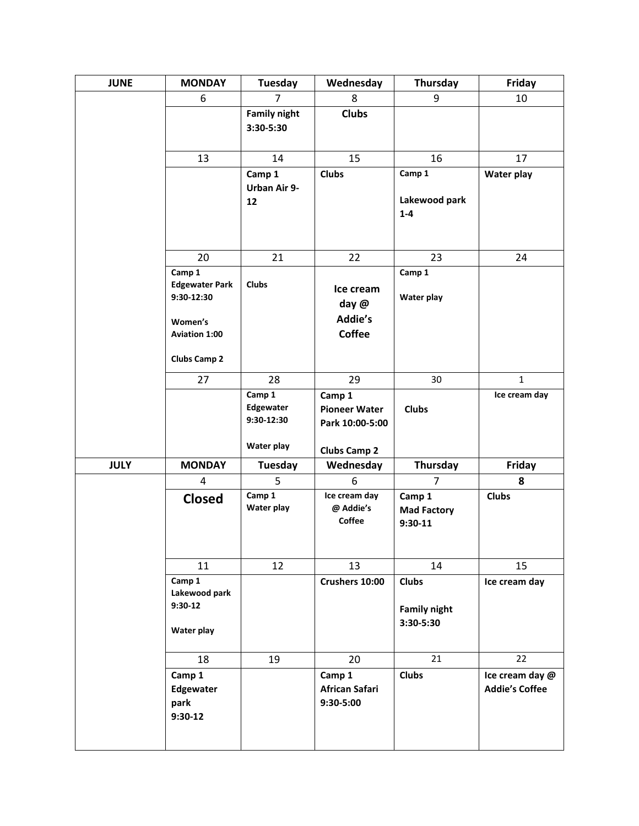| <b>JUNE</b> | <b>MONDAY</b>                                      | <b>Tuesday</b>                    | Wednesday                                         | Thursday                                         | Friday                                   |
|-------------|----------------------------------------------------|-----------------------------------|---------------------------------------------------|--------------------------------------------------|------------------------------------------|
|             | 6                                                  | $\overline{7}$                    | 8                                                 | 9                                                | 10                                       |
|             |                                                    | <b>Family night</b><br>3:30-5:30  | <b>Clubs</b>                                      |                                                  |                                          |
|             | 13                                                 | 14                                | 15                                                | 16                                               | 17                                       |
|             |                                                    | Camp 1<br><b>Urban Air 9-</b>     | <b>Clubs</b>                                      | Camp 1                                           | Water play                               |
|             |                                                    | 12                                |                                                   | Lakewood park<br>$1 - 4$                         |                                          |
|             | 20                                                 | 21                                | 22                                                | 23                                               | 24                                       |
|             | Camp 1                                             |                                   |                                                   | Camp 1                                           |                                          |
|             | <b>Edgewater Park</b><br>9:30-12:30<br>Women's     | <b>Clubs</b>                      | Ice cream<br>day @<br>Addie's                     | <b>Water play</b>                                |                                          |
|             | <b>Aviation 1:00</b>                               |                                   | <b>Coffee</b>                                     |                                                  |                                          |
|             | <b>Clubs Camp 2</b>                                |                                   |                                                   |                                                  |                                          |
|             | 27                                                 | 28                                | 29                                                | 30                                               | $\mathbf{1}$                             |
|             |                                                    | Camp 1<br>Edgewater<br>9:30-12:30 | Camp 1<br><b>Pioneer Water</b><br>Park 10:00-5:00 | <b>Clubs</b>                                     | Ice cream day                            |
|             |                                                    | Water play                        | <b>Clubs Camp 2</b>                               |                                                  |                                          |
| <b>JULY</b> | <b>MONDAY</b>                                      | Tuesday                           | Wednesday                                         | Thursday                                         | Friday                                   |
|             | 4                                                  | 5                                 | 6                                                 | $\overline{7}$                                   | 8                                        |
|             | <b>Closed</b>                                      | Camp 1<br>Water play              | Ice cream day<br>@ Addie's<br>Coffee              | Camp 1<br><b>Mad Factory</b><br>$9:30-11$        | <b>Clubs</b>                             |
|             | 11                                                 | 12                                | 13                                                | 14                                               | 15                                       |
|             | Camp 1<br>Lakewood park<br>$9:30-12$<br>Water play |                                   | Crushers 10:00                                    | <b>Clubs</b><br><b>Family night</b><br>3:30-5:30 | Ice cream day                            |
|             | 18                                                 | 19                                | 20                                                | 21                                               | 22                                       |
|             | Camp 1<br>Edgewater<br>park<br>$9:30-12$           |                                   | Camp 1<br>African Safari<br>9:30-5:00             | <b>Clubs</b>                                     | Ice cream day @<br><b>Addie's Coffee</b> |
|             |                                                    |                                   |                                                   |                                                  |                                          |